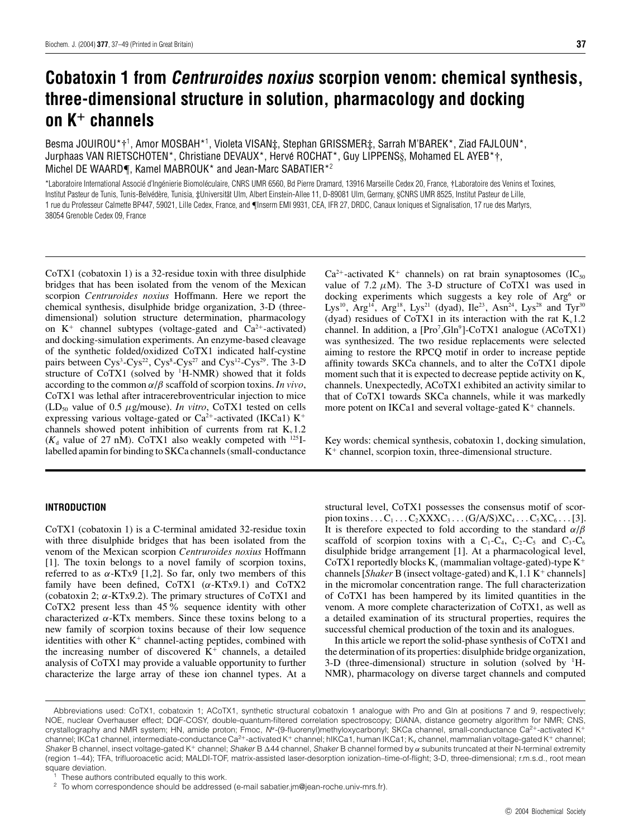# **Cobatoxin 1 from Centruroides noxius scorpion venom: chemical synthesis, three-dimensional structure in solution, pharmacology and docking on K<sup>+</sup> channels**

Besma JOUIROU\*†<sup>1</sup>, Amor MOSBAH\*<sup>1</sup>, Violeta VISAN‡, Stephan GRISSMER‡, Sarrah M'BAREK\*, Ziad FAJLOUN\*, Jurphaas VAN RIETSCHOTEN\*, Christiane DEVAUX\*, Hervé ROCHAT\*, Guy LIPPENS§, Mohamed EL AYEB\*†, Michel DE WAARD¶, Kamel MABROUK\* and Jean-Marc SABATIER\*<sup>2</sup>

\*Laboratoire International Associé d'Ingénierie Biomoléculaire, CNRS UMR 6560, Bd Pierre Dramard, 13916 Marseille Cedex 20, France, †Laboratoire des Venins et Toxines, Institut Pasteur de Tunis, Tunis-Belvédère, Tunisia, ‡Universität Ulm, Albert Einstein-Allee 11, D-89081 Ulm, Germany, §CNRS UMR 8525, Institut Pasteur de Lille, 1 rue du Professeur Calmette BP447, 59021, Lille Cedex, France, and ¶Inserm EMI 9931, CEA, IFR 27, DRDC, Canaux Ioniques et Signalisation, 17 rue des Martyrs, 38054 Grenoble Cedex 09, France

CoTX1 (cobatoxin 1) is a 32-residue toxin with three disulphide bridges that has been isolated from the venom of the Mexican scorpion *Centruroides noxius* Hoffmann. Here we report the chemical synthesis, disulphide bridge organization, 3-D (threedimensional) solution structure determination, pharmacology on  $K^+$  channel subtypes (voltage-gated and  $Ca^{2+}$ -activated) and docking-simulation experiments. An enzyme-based cleavage of the synthetic folded/oxidized CoTX1 indicated half-cystine pairs between Cys<sup>3</sup>-Cys<sup>22</sup>, Cys<sup>8</sup>-Cys<sup>27</sup> and Cys<sup>12</sup>-Cys<sup>29</sup>. The 3-D structure of CoTX1 (solved by <sup>1</sup>H-NMR) showed that it folds according to the common *α*/*β* scaffold of scorpion toxins. *In vivo*, CoTX1 was lethal after intracerebroventricular injection to mice  $(LD<sub>50</sub>$  value of 0.5  $\mu$ g/mouse). *In vitro*, CoTX1 tested on cells expressing various voltage-gated or  $Ca^{2+}$ -activated (IKCa1) K<sup>+</sup> channels showed potent inhibition of currents from rat  $K_v 1.2$  $(K_d$  value of 27 nM). CoTX1 also weakly competed with <sup>125</sup>Ilabelled apamin for binding to SKCa channels (small-conductance

# **INTRODUCTION**

CoTX1 (cobatoxin 1) is a C-terminal amidated 32-residue toxin with three disulphide bridges that has been isolated from the venom of the Mexican scorpion *Centruroides noxius* Hoffmann [1]. The toxin belongs to a novel family of scorpion toxins, referred to as  $α$ -KTx9 [1,2]. So far, only two members of this family have been defined, CoTX1 (*α*-KTx9.1) and CoTX2 (cobatoxin 2; *α*-KTx9.2). The primary structures of CoTX1 and CoTX2 present less than 45% sequence identity with other characterized *α*-KTx members. Since these toxins belong to a new family of scorpion toxins because of their low sequence identities with other  $K^+$  channel-acting peptides, combined with the increasing number of discovered  $K^+$  channels, a detailed analysis of CoTX1 may provide a valuable opportunity to further characterize the large array of these ion channel types. At a

 $Ca^{2+}$ -activated K<sup>+</sup> channels) on rat brain synaptosomes (IC<sub>50</sub>) value of 7.2  $\mu$ M). The 3-D structure of CoTX1 was used in docking experiments which suggests a key role of Arg<sup>6</sup> or Lys<sup>10</sup>, Arg<sup>14</sup>, Arg<sup>18</sup>, Lys<sup>21</sup> (dyad), Ile<sup>23</sup>, Asn<sup>24</sup>, Lys<sup>28</sup> and Tyr<sup>30</sup> (dyad) residues of CoTX1 in its interaction with the rat  $K_v 1.2$ channel. In addition, a  $[Pro<sup>7</sup>, Gln<sup>9</sup>]$ -CoTX1 analogue (ACoTX1) was synthesized. The two residue replacements were selected aiming to restore the RPCQ motif in order to increase peptide affinity towards SKCa channels, and to alter the CoTX1 dipole moment such that it is expected to decrease peptide activity on  $K_v$ channels. Unexpectedly, ACoTX1 exhibited an activity similar to that of CoTX1 towards SKCa channels, while it was markedly more potent on IKCa1 and several voltage-gated  $K^+$  channels.

Key words: chemical synthesis, cobatoxin 1, docking simulation,  $K^+$  channel, scorpion toxin, three-dimensional structure.

structural level, CoTX1 possesses the consensus motif of scorpion toxins . . .  $C_1$  . . .  $C_2$ XXX $C_3$  . . .  $(G/A/S)XC_4$  . . .  $C_5XC_6$  . . . [3]. It is therefore expected to fold according to the standard *α*/*β* scaffold of scorpion toxins with a  $C_1-C_4$ ,  $C_2-C_5$  and  $C_3-C_6$ disulphide bridge arrangement [1]. At a pharmacological level, CoTX1 reportedly blocks  $K_v$  (mammalian voltage-gated)-type  $K^+$ channels [*Shaker* B (insect voltage-gated) and  $K_v$  1.1  $K^+$  channels] in the micromolar concentration range. The full characterization of CoTX1 has been hampered by its limited quantities in the venom. A more complete characterization of CoTX1, as well as a detailed examination of its structural properties, requires the successful chemical production of the toxin and its analogues.

In this article we report the solid-phase synthesis of CoTX1 and the determination of its properties: disulphide bridge organization,  $3-D$  (three-dimensional) structure in solution (solved by  $H$ -NMR), pharmacology on diverse target channels and computed

Abbreviations used: CoTX1, cobatoxin 1; ACoTX1, synthetic structural cobatoxin 1 analogue with Pro and Gln at positions 7 and 9, respectively; NOE, nuclear Overhauser effect; DQF-COSY, double-quantum-filtered correlation spectroscopy; DIANA, distance geometry algorithm for NMR; CNS, crystallography and NMR system; HN, amide proton; Fmoc, N<sup>α</sup>-(9-fluorenyl)methyloxycarbonyl; SKCa channel, small-conductance Ca<sup>2+</sup>-activated K<sup>+</sup> channel; IKCa1 channel, intermediate-conductance Ca<sup>2+</sup>-activated K+ channel; hIKCa1, human IKCa1; K<sub>v</sub> channel, mammalian voltage-gated K+ channel; Shaker B channel, insect voltage-gated K<sup>+</sup> channel; Shaker B Δ44 channel, Shaker B channel formed by α subunits truncated at their N-terminal extremity (region 1–44); TFA, trifluoroacetic acid; MALDI-TOF, matrix-assisted laser-desorption ionization–time-of-flight; 3-D, three-dimensional; r.m.s.d., root mean square deviation.

<sup>&</sup>lt;sup>1</sup> These authors contributed equally to this work.<br><sup>2</sup> To whom correspondence abould be addressed

<sup>2</sup> To whom correspondence should be addressed (e-mail sabatier.jm@jean-roche.univ-mrs.fr).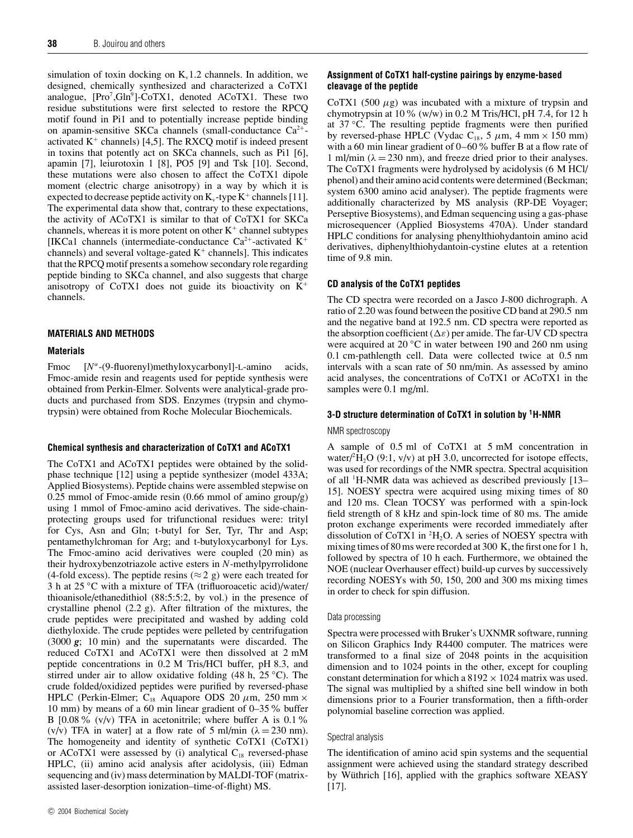simulation of toxin docking on  $K<sub>v</sub>1.2$  channels. In addition, we designed, chemically synthesized and characterized a CoTX1 analogue,  $[Pro<sup>7</sup>, Gln<sup>9</sup>]$ -CoTX1, denoted ACoTX1. These two residue substitutions were first selected to restore the RPCQ motif found in Pi1 and to potentially increase peptide binding on apamin-sensitive SKCa channels (small-conductance  $Ca^{2+}$ activated  $K^+$  channels) [4,5]. The RXCQ motif is indeed present in toxins that potently act on SKCa channels, such as Pi1 [6], apamin [7], leiurotoxin 1 [8], PO5 [9] and Tsk [10]. Second, these mutations were also chosen to affect the CoTX1 dipole moment (electric charge anisotropy) in a way by which it is expected to decrease peptide activity on  $K_v$ -type  $K^+$  channels [11]. The experimental data show that, contrary to these expectations, the activity of ACoTX1 is similar to that of CoTX1 for SKCa channels, whereas it is more potent on other  $K^+$  channel subtypes [IKCa1 channels (intermediate-conductance  $Ca^{2+}$ -activated K<sup>+</sup> channels) and several voltage-gated  $K^+$  channels]. This indicates that the RPCQ motif presents a somehow secondary role regarding peptide binding to SKCa channel, and also suggests that charge anisotropy of CoTX1 does not guide its bioactivity on K<sup>+</sup> channels.

# **MATERIALS AND METHODS**

# **Materials**

Fmoc [*N<sup>α</sup>*-(9-fluorenyl)methyloxycarbonyl]-L-amino acids, Fmoc-amide resin and reagents used for peptide synthesis were obtained from Perkin-Elmer. Solvents were analytical-grade products and purchased from SDS. Enzymes (trypsin and chymotrypsin) were obtained from Roche Molecular Biochemicals.

# **Chemical synthesis and characterization of CoTX1 and ACoTX1**

The CoTX1 and ACoTX1 peptides were obtained by the solidphase technique [12] using a peptide synthesizer (model 433A; Applied Biosystems). Peptide chains were assembled stepwise on 0.25 mmol of Fmoc-amide resin (0.66 mmol of amino group/g) using 1 mmol of Fmoc-amino acid derivatives. The side-chainprotecting groups used for trifunctional residues were: trityl for Cys, Asn and Gln; t-butyl for Ser, Tyr, Thr and Asp; pentamethylchroman for Arg; and t-butyloxycarbonyl for Lys. The Fmoc-amino acid derivatives were coupled (20 min) as their hydroxybenzotriazole active esters in *N*-methylpyrrolidone (4-fold excess). The peptide resins ( $\approx$  2 g) were each treated for 3 h at 25 *◦*C with a mixture of TFA (trifluoroacetic acid)/water/ thioanisole/ethanedithiol (88:5:5:2, by vol.) in the presence of crystalline phenol (2.2 g). After filtration of the mixtures, the crude peptides were precipitated and washed by adding cold diethyloxide. The crude peptides were pelleted by centrifugation (3000 *g*; 10 min) and the supernatants were discarded. The reduced CoTX1 and ACoTX1 were then dissolved at 2 mM peptide concentrations in 0.2 M Tris/HCl buffer, pH 8.3, and stirred under air to allow oxidative folding (48 h, 25 *◦*C). The crude folded/oxidized peptides were purified by reversed-phase HPLC (Perkin-Elmer;  $C_{18}$  Aquapore ODS 20  $\mu$ m, 250 mm  $\times$ 10 mm) by means of a 60 min linear gradient of 0–35% buffer B [0.08 % (v/v) TFA in acetonitrile; where buffer A is 0.1 % (v/v) TFA in water] at a flow rate of 5 ml/min ( $\lambda = 230$  nm). The homogeneity and identity of synthetic CoTX1 (CoTX1) or ACoTX1 were assessed by (i) analytical  $C_{18}$  reversed-phase HPLC, (ii) amino acid analysis after acidolysis, (iii) Edman sequencing and (iv) mass determination by MALDI-TOF (matrixassisted laser-desorption ionization–time-of-flight) MS.

# **Assignment of CoTX1 half-cystine pairings by enzyme-based cleavage of the peptide**

CoTX1 (500  $\mu$ g) was incubated with a mixture of trypsin and chymotrypsin at  $10\%$  (w/w) in 0.2 M Tris/HCl, pH 7.4, for 12 h at 37 *◦*C. The resulting peptide fragments were then purified by reversed-phase HPLC (Vydac  $C_{18}$ , 5  $\mu$ m, 4 mm × 150 mm) with a 60 min linear gradient of 0–60 % buffer B at a flow rate of 1 ml/min ( $\lambda = 230$  nm), and freeze dried prior to their analyses. The CoTX1 fragments were hydrolysed by acidolysis (6 M HCl/ phenol) and their amino acid contents were determined (Beckman; system 6300 amino acid analyser). The peptide fragments were additionally characterized by MS analysis (RP-DE Voyager; Perseptive Biosystems), and Edman sequencing using a gas-phase microsequencer (Applied Biosystems 470A). Under standard HPLC conditions for analysing phenylthiohydantoin amino acid derivatives, diphenylthiohydantoin-cystine elutes at a retention time of 9.8 min.

# **CD analysis of the CoTX1 peptides**

The CD spectra were recorded on a Jasco J-800 dichrograph. A ratio of 2.20 was found between the positive CD band at 290.5 nm and the negative band at 192.5 nm. CD spectra were reported as the absorption coefficient  $(\Delta \varepsilon)$  per amide. The far-UV CD spectra were acquired at 20 *◦*C in water between 190 and 260 nm using 0.1 cm-pathlength cell. Data were collected twice at 0.5 nm intervals with a scan rate of 50 nm/min. As assessed by amino acid analyses, the concentrations of CoTX1 or ACoTX1 in the samples were 0.1 mg/ml.

# **3-D structure determination of CoTX1 in solution by 1H-NMR**

# NMR spectroscopy

A sample of 0.5 ml of CoTX1 at 5 mM concentration in water/ ${}^2H_2O$  (9:1, v/v) at pH 3.0, uncorrected for isotope effects, was used for recordings of the NMR spectra. Spectral acquisition of all <sup>1</sup> H-NMR data was achieved as described previously [13– 15]. NOESY spectra were acquired using mixing times of 80 and 120 ms. Clean TOCSY was performed with a spin-lock field strength of 8 kHz and spin-lock time of 80 ms. The amide proton exchange experiments were recorded immediately after dissolution of  $\text{CoTX1}$  in <sup>2</sup>H<sub>2</sub>O. A series of NOESY spectra with mixing times of 80 ms were recorded at 300 K, the first one for 1 h, followed by spectra of 10 h each. Furthermore, we obtained the NOE (nuclear Overhauser effect) build-up curves by successively recording NOESYs with 50, 150, 200 and 300 ms mixing times in order to check for spin diffusion.

# Data processing

Spectra were processed with Bruker's UXNMR software, running on Silicon Graphics Indy R4400 computer. The matrices were transformed to a final size of 2048 points in the acquisition dimension and to 1024 points in the other, except for coupling constant determination for which a  $8192 \times 1024$  matrix was used. The signal was multiplied by a shifted sine bell window in both dimensions prior to a Fourier transformation, then a fifth-order polynomial baseline correction was applied.

# Spectral analysis

The identification of amino acid spin systems and the sequential assignment were achieved using the standard strategy described by Wüthrich [16], applied with the graphics software XEASY [17].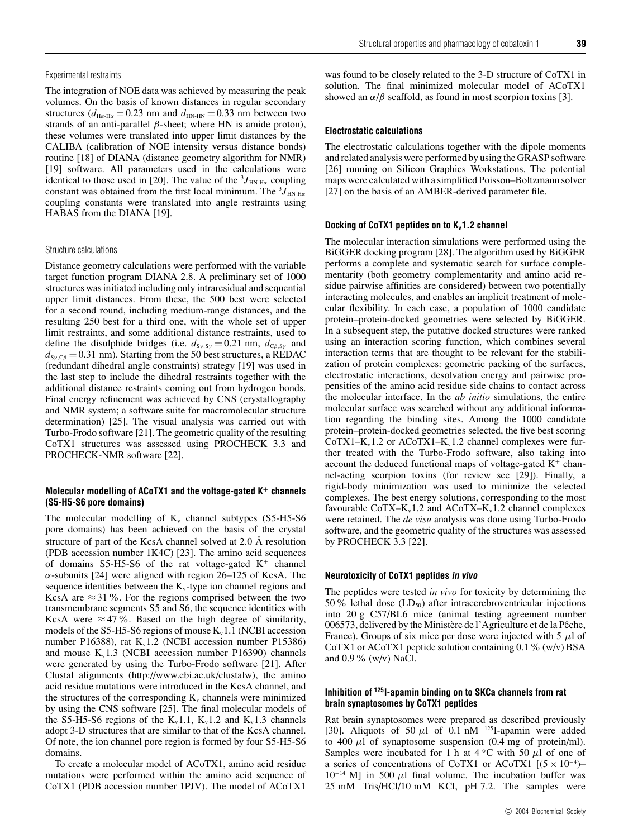#### Experimental restraints

The integration of NOE data was achieved by measuring the peak volumes. On the basis of known distances in regular secondary structures ( $d_{\text{H}\alpha\text{-H}\alpha} = 0.23$  nm and  $d_{\text{HN-HN}} = 0.33$  nm between two strands of an anti-parallel  $\beta$ -sheet; where HN is amide proton), these volumes were translated into upper limit distances by the CALIBA (calibration of NOE intensity versus distance bonds) routine [18] of DIANA (distance geometry algorithm for NMR) [19] software. All parameters used in the calculations were identical to those used in [20]. The value of the  ${}^{3}J_{HN\text{-H}\alpha}$  coupling constant was obtained from the first local minimum. The <sup>3</sup>*J*<sub>HN-Hα</sub> coupling constants were translated into angle restraints using HABAS from the DIANA [19].

# Structure calculations

Distance geometry calculations were performed with the variable target function program DIANA 2.8. A preliminary set of 1000 structures was initiated including only intraresidual and sequential upper limit distances. From these, the 500 best were selected for a second round, including medium-range distances, and the resulting 250 best for a third one, with the whole set of upper limit restraints, and some additional distance restraints, used to define the disulphide bridges (i.e.  $d_{S_Y, S_Y} = 0.21$  nm,  $d_{C\beta, S_Y}$  and  $d_{S_Y, C\beta} = 0.31$  nm). Starting from the 50 best structures, a REDAC (redundant dihedral angle constraints) strategy [19] was used in the last step to include the dihedral restraints together with the additional distance restraints coming out from hydrogen bonds. Final energy refinement was achieved by CNS (crystallography and NMR system; a software suite for macromolecular structure determination) [25]. The visual analysis was carried out with Turbo-Frodo software [21]. The geometric quality of the resulting CoTX1 structures was assessed using PROCHECK 3.3 and PROCHECK-NMR software [22].

# **Molecular modelling of ACoTX1 and the voltage-gated K<sup>+</sup> channels (S5-H5-S6 pore domains)**

The molecular modelling of  $K_v$  channel subtypes (S5-H5-S6 pore domains) has been achieved on the basis of the crystal structure of part of the KcsA channel solved at 2.0 Å resolution (PDB accession number 1K4C) [23]. The amino acid sequences of domains  $S5-H5-S6$  of the rat voltage-gated  $K^+$  channel  $\alpha$ -subunits [24] were aligned with region 26–125 of KcsA. The sequence identities between the  $K_{v}$ -type ion channel regions and KcsA are  $\approx$  31%. For the regions comprised between the two transmembrane segments S5 and S6, the sequence identities with KcsA were  $\approx$  47%. Based on the high degree of similarity, models of the S5-H5-S6 regions of mouse  $K_v1.1$  (NCBI accession number P16388), rat  $K_v1.2$  (NCBI accession number P15386) and mouse  $K_v1.3$  (NCBI accession number P16390) channels were generated by using the Turbo-Frodo software [21]. After Clustal alignments (http://www.ebi.ac.uk/clustalw), the amino acid residue mutations were introduced in the KcsA channel, and the structures of the corresponding  $K_v$  channels were minimized by using the CNS software [25]. The final molecular models of the S5-H5-S6 regions of the  $K_v1.1$ ,  $K_v1.2$  and  $K_v1.3$  channels adopt 3-D structures that are similar to that of the KcsA channel. Of note, the ion channel pore region is formed by four S5-H5-S6 domains.

To create a molecular model of ACoTX1, amino acid residue mutations were performed within the amino acid sequence of CoTX1 (PDB accession number 1PJV). The model of ACoTX1

was found to be closely related to the 3-D structure of CoTX1 in solution. The final minimized molecular model of ACoTX1 showed an  $\alpha/\beta$  scaffold, as found in most scorpion toxins [3].

# **Electrostatic calculations**

The electrostatic calculations together with the dipole moments and related analysis were performed by using the GRASP software [26] running on Silicon Graphics Workstations. The potential maps were calculated with a simplified Poisson–Boltzmann solver [27] on the basis of an AMBER-derived parameter file.

#### **Docking of CoTX1 peptides on to K<sub>v</sub>1.2 channel**

The molecular interaction simulations were performed using the BiGGER docking program [28]. The algorithm used by BiGGER performs a complete and systematic search for surface complementarity (both geometry complementarity and amino acid residue pairwise affinities are considered) between two potentially interacting molecules, and enables an implicit treatment of molecular flexibility. In each case, a population of 1000 candidate protein–protein-docked geometries were selected by BiGGER. In a subsequent step, the putative docked structures were ranked using an interaction scoring function, which combines several interaction terms that are thought to be relevant for the stabilization of protein complexes: geometric packing of the surfaces, electrostatic interactions, desolvation energy and pairwise propensities of the amino acid residue side chains to contact across the molecular interface. In the *ab initio* simulations, the entire molecular surface was searched without any additional information regarding the binding sites. Among the 1000 candidate protein–protein-docked geometries selected, the five best scoring CoTX1–K<sub>v</sub>1.2 or ACoTX1–K<sub>v</sub>1.2 channel complexes were further treated with the Turbo-Frodo software, also taking into account the deduced functional maps of voltage-gated  $K^+$  channel-acting scorpion toxins (for review see [29]). Finally, a rigid-body minimization was used to minimize the selected complexes. The best energy solutions, corresponding to the most favourable CoTX– $K_v1.2$  and ACoTX– $K_v1.2$  channel complexes were retained. The *de visu* analysis was done using Turbo-Frodo software, and the geometric quality of the structures was assessed by PROCHECK 3.3 [22].

# **Neurotoxicity of CoTX1 peptides in vivo**

The peptides were tested *in vivo* for toxicity by determining the 50% lethal dose  $(LD_{50})$  after intracerebroventricular injections into 20 g C57/BL6 mice (animal testing agreement number 006573, delivered by the Ministère de l'Agriculture et de la Pêche, France). Groups of six mice per dose were injected with 5 *µ*l of CoTX1 or ACoTX1 peptide solution containing 0.1% (w/v) BSA and 0.9% (w/v) NaCl.

# **Inhibition of 125I-apamin binding on to SKCa channels from rat brain synaptosomes by CoTX1 peptides**

Rat brain synaptosomes were prepared as described previously [30]. Aliquots of 50  $\mu$ l of 0.1 nM <sup>125</sup>I-apamin were added to  $400 \mu l$  of synaptosome suspension  $(0.4 \text{ mg of protein/ml})$ . Samples were incubated for 1 h at  $4 °C$  with 50  $\mu$ l of one of a series of concentrations of CoTX1 or ACoTX1  $[(5 \times 10^{-4})$ 10−<sup>14</sup> M] in 500 *µ*l final volume. The incubation buffer was 25 mM Tris/HCl/10 mM KCl, pH 7.2. The samples were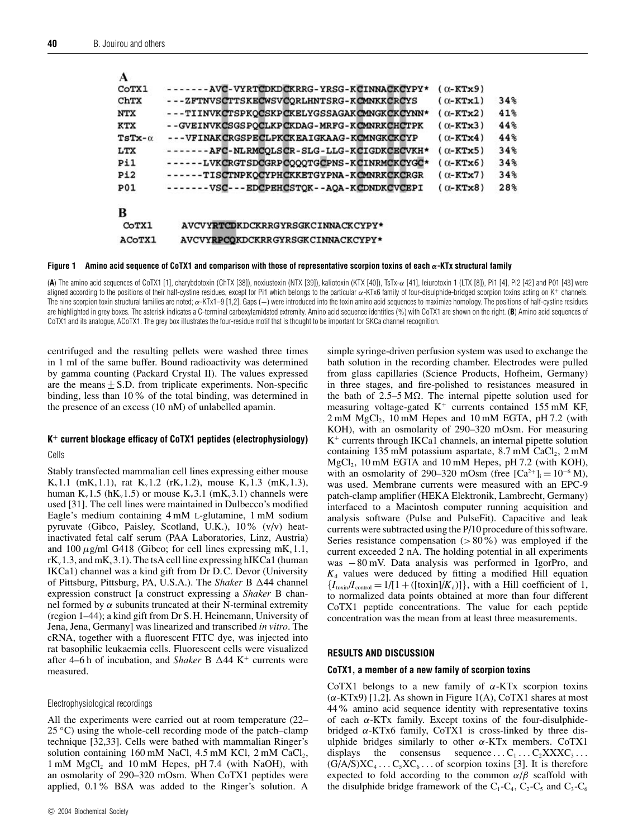| -------AVC-VYRTCDKDCKRRG-YRSG-KCINNACKCYPY* | $(0 - KTx9)$     |     |
|---------------------------------------------|------------------|-----|
| ---ZFTNVSCTTSKECWSVCQRLHNTSRG-KCMNKKCRCYS   | $(\alpha$ -KTx1) | 34% |
| ---TIINVKCTSPKOCSKPCKELYGSSAGAKCMNGKCKCYNN* | $(0 - KTx2)$     | 41% |
| --GVEINVKCSGSPOCLKPCKDAG-MRFG-KCMNRKCHCTPK  | $(0-KTx3)$       | 44% |
| ---VFINAKCRGSPECLPKCKEAIGKAAG-KOMNGKCKCYP   | $(0-KTx4)$       | 44% |
| -------AFC-NLRMCOLSCR-SLG-LLG-KCIGDKCECVKH* | $(0-KTx5)$       | 34% |
| ------LVKCRGTSDCGRPCOOOTGCPNS-KCINRMCKCYGC* | $(0-KTx6)$       | 34% |
| ------TISCTNPKOCYPHCKKETGYPNA-KCMNRKCKCRGR  | $(0-FTx7)$       | 34% |
| -------VSC---EDCPEHCSTOK--AOA-KCDNDKCVCEPI  | $(0 - KTx8)$     | 28% |
|                                             |                  |     |
| AVCVYRTCDKDCKRRGYRSGKCINNACKCYPY*           |                  |     |
| AVCVYRPCOKDCKRRGYRSGKCINNACKCYPY*           |                  |     |
|                                             |                  |     |

#### **Figure 1 Amino acid sequence of CoTX1 and comparison with those of representative scorpion toxins of each** *α***-KTx structural family**

(**A**) The amino acid sequences of CoTX1 [1], charybdotoxin (ChTX [38]), noxiustoxin (NTX [39]), kaliotoxin (KTX [40]), TsTx-α [41], leiurotoxin 1 (LTX [8]), Pi1 [4], Pi2 [42] and P01 [43] were aligned according to the positions of their half-cystine residues, except for Pi1 which belongs to the particular α-KTx6 family of four-disulphide-bridged scorpion toxins acting on K+ channels. The nine scorpion toxin structural families are noted;  $\alpha$ -KTx1–9 [1,2]. Gaps (–) were introduced into the toxin amino acid sequences to maximize homology. The positions of half-cystine residues are highlighted in grey boxes. The asterisk indicates a C-terminal carboxylamidated extremity. Amino acid sequence identities (%) with CoTX1 are shown on the right. (**B**) Amino acid sequences of CoTX1 and its analogue, ACoTX1. The grey box illustrates the four-residue motif that is thought to be important for SKCa channel recognition.

centrifuged and the resulting pellets were washed three times in 1 ml of the same buffer. Bound radioactivity was determined by gamma counting (Packard Crystal II). The values expressed are the means  $\pm$  S.D. from triplicate experiments. Non-specific binding, less than 10% of the total binding, was determined in the presence of an excess (10 nM) of unlabelled apamin.

# **K<sup>+</sup> current blockage efficacy of CoTX1 peptides (electrophysiology)**

Cells

Stably transfected mammalian cell lines expressing either mouse  $K_v 1.1$  (m $K_v 1.1$ ), rat  $K_v 1.2$  (r $K_v 1.2$ ), mouse  $K_v 1.3$  (m $K_v 1.3$ ), human  $K_v$ 1.5 (h $K_v$ 1.5) or mouse  $K_v$ 3.1 (m $K_v$ 3.1) channels were used [31]. The cell lines were maintained in Dulbecco's modified Eagle's medium containing 4 mM L-glutamine, 1 mM sodium pyruvate (Gibco, Paisley, Scotland, U.K.), 10% (v/v) heatinactivated fetal calf serum (PAA Laboratories, Linz, Austria) and 100  $\mu$ g/ml G418 (Gibco; for cell lines expressing mK<sub>v</sub>1.1,  $rK_v1.3$ , and m $K_v3.1$ ). The tsA cell line expressing hIKCa1 (human IKCa1) channel was a kind gift from Dr D.C. Devor (University of Pittsburg, Pittsburg, PA, U.S.A.). The *Shaker* B  $\Delta$ 44 channel expression construct [a construct expressing a *Shaker* B channel formed by *α* subunits truncated at their N-terminal extremity (region 1–44); a kind gift from Dr S.H. Heinemann, University of Jena, Jena, Germany] was linearized and transcribed *in vitro*. The cRNA, together with a fluorescent FITC dye, was injected into rat basophilic leukaemia cells. Fluorescent cells were visualized after 4–6 h of incubation, and *Shaker* B  $\Delta$ 44 K<sup>+</sup> currents were measured.

#### Electrophysiological recordings

All the experiments were carried out at room temperature (22– 25 *◦*C) using the whole-cell recording mode of the patch–clamp technique [32,33]. Cells were bathed with mammalian Ringer's solution containing 160 mM NaCl, 4.5 mM KCl,  $2 \text{ mM }$  CaCl<sub>2</sub>,  $1 \text{ mM } MgCl<sub>2</sub>$  and  $10 \text{ mM } Hepes$ , pH 7.4 (with NaOH), with an osmolarity of 290–320 mOsm. When CoTX1 peptides were applied, 0.1% BSA was added to the Ringer's solution. A simple syringe-driven perfusion system was used to exchange the bath solution in the recording chamber. Electrodes were pulled from glass capillaries (Science Products, Hofheim, Germany) in three stages, and fire-polished to resistances measured in the bath of  $2.5-5 \text{ M}\Omega$ . The internal pipette solution used for measuring voltage-gated  $K^+$  currents contained 155 mM KF,  $2 \text{ mM } MgCl<sub>2</sub>$ , 10 mM Hepes and 10 mM EGTA, pH 7.2 (with KOH), with an osmolarity of 290–320 mOsm. For measuring  $K^+$  currents through IKCa1 channels, an internal pipette solution containing 135 mM potassium aspartate,  $8.7 \text{ mM }$  CaCl<sub>2</sub>,  $2 \text{ mM}$ MgCl<sub>2</sub>, 10 mM EGTA and 10 mM Hepes, pH 7.2 (with KOH), with an osmolarity of 290–320 mOsm (free  $[Ca^{2+}]_i = 10^{-6} M$ ), was used. Membrane currents were measured with an EPC-9 patch-clamp amplifier (HEKA Elektronik, Lambrecht, Germany) interfaced to a Macintosh computer running acquisition and analysis software (Pulse and PulseFit). Capacitive and leak currents were subtracted using the P/10 procedure of this software. Series resistance compensation (*>*80%) was employed if the current exceeded 2 nA. The holding potential in all experiments was −80 mV. Data analysis was performed in IgorPro, and  $K_d$  values were deduced by fitting a modified Hill equation  ${I_{\text{toxin}}/I_{\text{control}} = 1/[1 + ([\text{toxin}]/K_d)]}$ , with a Hill coefficient of 1, to normalized data points obtained at more than four different CoTX1 peptide concentrations. The value for each peptide concentration was the mean from at least three measurements.

#### **RESULTS AND DISCUSSION**

#### **CoTX1, a member of a new family of scorpion toxins**

CoTX1 belongs to a new family of *α*-KTx scorpion toxins (*α*-KTx9) [1,2]. As shown in Figure 1(A), CoTX1 shares at most 44% amino acid sequence identity with representative toxins of each *α*-KTx family. Except toxins of the four-disulphidebridged *α*-KTx6 family, CoTX1 is cross-linked by three disulphide bridges similarly to other *α*-KTx members. CoTX1 displays the consensus sequence ...  $C_1 \ldots C_2$ XXX $C_3 \ldots$  $(G/A/S)XC_4 \dots C_5XC_6 \dots$  of scorpion toxins [3]. It is therefore expected to fold according to the common  $\alpha/\beta$  scaffold with the disulphide bridge framework of the  $C_1$ - $C_4$ ,  $C_2$ - $C_5$  and  $C_3$ - $C_6$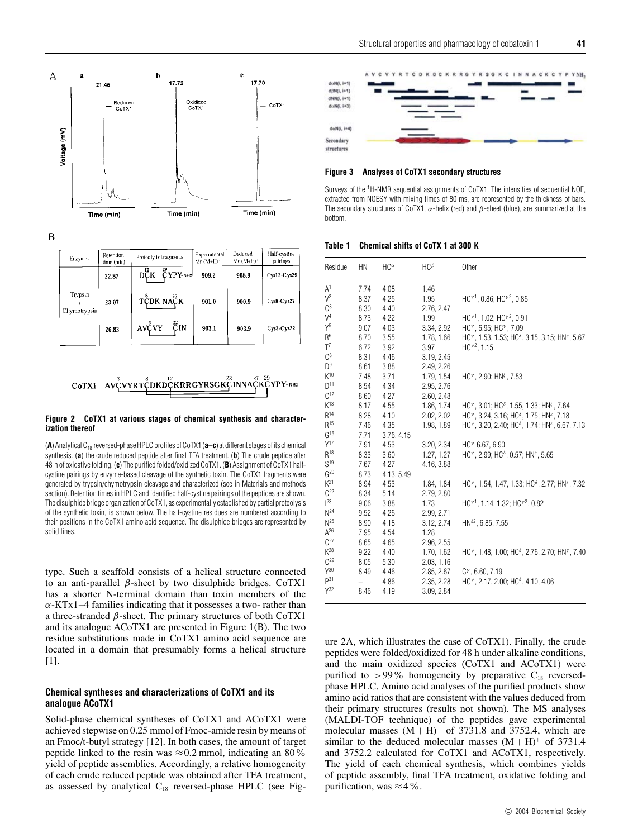

 $\boldsymbol{B}$ 

| Enzymes                 | Retention<br>time (min) | Proteolytic fragments       | Experimental<br>$Mr(M+H)$ | Deduced<br>$Mr (M+H)^*$ | Half-cystine<br>pairings |
|-------------------------|-------------------------|-----------------------------|---------------------------|-------------------------|--------------------------|
|                         | 22.87                   | 29<br>12<br>CYPY-NH2<br>DČK | 909.2                     | 908.9                   | $Cys12-Cys29$            |
| Trypsin<br>Chymotrypsin | 23.07                   | TCDK NAÇK                   | 901.0                     | 900.9                   | Cys8-Cys27               |
|                         | 26.83                   | 22<br>AVCVY<br>ĈΙN          | 903.1                     | 903.9                   | $Cys3-Cys22$             |



#### **Figure 2 CoTX1 at various stages of chemical synthesis and characterization thereof**

(**A**) Analytical C18 reversed-phase HPLC profiles of CoTX1 (**a**–**c**) at different stages of its chemical synthesis. (**a**) the crude reduced peptide after final TFA treatment. (**b**) The crude peptide after 48 h of oxidative folding. (**c**) The purified folded/oxidized CoTX1. (**B**) Assignment of CoTX1 halfcystine pairings by enzyme-based cleavage of the synthetic toxin. The CoTX1 fragments were generated by trypsin/chymotrypsin cleavage and characterized (see in Materials and methods section). Retention times in HPLC and identified half-cystine pairings of the peptides are shown. The disulphide bridge organization of CoTX1, as experimentally established by partial proteolysis of the synthetic toxin, is shown below. The half-cystine residues are numbered according to their positions in the CoTX1 amino acid sequence. The disulphide bridges are represented by solid lines.

type. Such a scaffold consists of a helical structure connected to an anti-parallel *β*-sheet by two disulphide bridges. CoTX1 has a shorter N-terminal domain than toxin members of the  $\alpha$ -KTx1–4 families indicating that it possesses a two- rather than a three-stranded *β*-sheet. The primary structures of both CoTX1 and its analogue ACoTX1 are presented in Figure 1(B). The two residue substitutions made in CoTX1 amino acid sequence are located in a domain that presumably forms a helical structure [1].

# **Chemical syntheses and characterizations of CoTX1 and its analogue ACoTX1**

Solid-phase chemical syntheses of CoTX1 and ACoTX1 were achieved stepwise on 0.25 mmol of Fmoc-amide resin by means of an Fmoc/t-butyl strategy [12]. In both cases, the amount of target peptide linked to the resin was  $\approx 0.2$  mmol, indicating an 80% yield of peptide assemblies. Accordingly, a relative homogeneity of each crude reduced peptide was obtained after TFA treatment, as assessed by analytical  $C_{18}$  reversed-phase HPLC (see Fig-



# **Figure 3 Analyses of CoTX1 secondary structures**

Surveys of the 1H-NMR sequential assignments of CoTX1. The intensities of sequential NOE, extracted from NOESY with mixing times of 80 ms, are represented by the thickness of bars. The secondary structures of CoTX1,  $\alpha$ -helix (red) and  $\beta$ -sheet (blue), are summarized at the bottom.

#### **Table 1 Chemical shifts of CoTX 1 at 300 K**

| Residue           | HN   | $HC^{\alpha}$ | $HC^{\beta}$ | Other                                                                                                                                      |
|-------------------|------|---------------|--------------|--------------------------------------------------------------------------------------------------------------------------------------------|
| A <sup>1</sup>    | 7.74 | 4.08          | 1.46         |                                                                                                                                            |
| $\sqrt{2}$        | 8.37 | 4.25          | 1.95         | $HC^{\gamma}$ , 0.86; HC $^{\gamma}$ <sup>2</sup> , 0.86                                                                                   |
| $\mathbb{C}^3$    | 8.30 | 4.40          | 2.76, 2.47   |                                                                                                                                            |
| $V^4$             | 8.73 | 4.22          | 1.99         | $HC^{\gamma}$ , 1.02; HC $^{\gamma}$ <sup>2</sup> , 0.91                                                                                   |
| $Y^5$             | 9.07 | 4.03          | 3.34, 2.92   | HC <sup>y</sup> , 6.95; HC <sup>y</sup> , 7.09                                                                                             |
| R <sup>6</sup>    | 8.70 | 3.55          | 1.78, 1.66   | $HC^{\gamma}$ , 1.53, 1.53; HC <sup><math>\delta</math></sup> , 3.15, 3.15; HN <sup><math>\epsilon</math></sup> , 5.67                     |
| $T^7$             | 6.72 | 3.92          | 3.97         | $HC^2$ , 1.15                                                                                                                              |
| $C^8$             | 8.31 | 4.46          | 3.19, 2.45   |                                                                                                                                            |
| $D^9$             | 8.61 | 3.88          | 2.49, 2.26   |                                                                                                                                            |
| $K^{10}$          | 7.48 | 3.71          | 1.79, 1.54   | $HC^{\gamma}$ , 2.90; HN <sup><math>\zeta</math></sup> , 7.53                                                                              |
| D <sup>11</sup>   | 8.54 | 4.34          | 2.95, 2.76   |                                                                                                                                            |
| C <sup>12</sup>   | 8.60 | 4.27          | 2.60, 2.48   |                                                                                                                                            |
| $K^{13}$          | 8.17 | 4.55          | 1.86, 1.74   | HC <sup>y</sup> , 3.01; HC <sup>s</sup> , 1.55, 1.33; HN <sup>s</sup> , 7.64                                                               |
| $R^{14}$          | 8.28 | 4.10          | 2.02, 2.02   | HC <sup>y</sup> , 3.24, 3.16; HC <sup>§</sup> , 1.75; HN <sup>ε</sup> , 7.18                                                               |
| $\mathsf{R}^{15}$ | 7.46 | 4.35          | 1.98, 1.89   | HC <sup>y</sup> , 3.20, 2.40; HC <sup>§</sup> , 1.74; HN <sup>ε</sup> , 6.67, 7.13                                                         |
| $G^{16}$          | 7.71 | 3.76, 4.15    |              |                                                                                                                                            |
| $Y^{17}$          | 7.91 | 4.53          | 3.20, 2.34   | $HC^{\gamma}$ 6.67, 6.90                                                                                                                   |
| $R^{18}$          | 8.33 | 3.60          | 1.27, 1.27   | HC <sup>y</sup> , 2.99; HC <sup>s</sup> , 0.57; HN <sup>e</sup> , 5.65                                                                     |
| S <sup>19</sup>   | 7.67 | 4.27          | 4.16, 3.88   |                                                                                                                                            |
| $G^{20}$          | 8.73 | 4.13, 5.49    |              |                                                                                                                                            |
| $K^{21}$          | 8.94 | 4.53          | 1.84, 1.84   | HC <sup><math>\gamma</math></sup> , 1.54, 1.47, 1.33; HC <sup><math>\delta</math></sup> , 2.77; HN <sup><math>\epsilon</math></sup> , 7.32 |
| $C^{22}$          | 8.34 | 5.14          | 2.79, 2.80   |                                                                                                                                            |
| $ ^{23}$          | 9.06 | 3.88          | 1.73         | $HC1$ , 1.14, 1.32; HC $2$ , 0.82                                                                                                          |
| N <sup>24</sup>   | 9.52 | 4.26          | 2.99, 2.71   |                                                                                                                                            |
| N <sup>25</sup>   | 8.90 | 4.18          | 3.12, 2.74   | $HN^{\delta2}$ , 6.85, 7.55                                                                                                                |
| $A^{26}$          | 7.95 | 4.54          | 1.28         |                                                                                                                                            |
| $C^{27}$          | 8.65 | 4.65          | 2.96, 2.55   |                                                                                                                                            |
| $K^{28}$          | 9.22 | 4.40          | 1.70, 1.62   | HC <sup>y</sup> , 1.48, 1.00; HC <sup>8</sup> , 2.76, 2.70; HN <sup>c</sup> , 7.40                                                         |
| $C^{29}$          | 8.05 | 5.30          | 2.03, 1.16   |                                                                                                                                            |
| $Y^{30}$          | 8.49 | 4.46          | 2.85, 2.67   | $C^{\gamma}$ , 6.60, 7.19                                                                                                                  |
| P <sup>31</sup>   |      | 4.86          | 2.35, 2.28   | $HC^{\gamma}$ , 2.17, 2.00; HC <sup><math>\delta</math></sup> , 4.10, 4.06                                                                 |
| Y <sup>32</sup>   | 8.46 | 4.19          | 3.09, 2.84   |                                                                                                                                            |

ure 2A, which illustrates the case of CoTX1). Finally, the crude peptides were folded/oxidized for 48 h under alkaline conditions, and the main oxidized species (CoTX1 and ACoTX1) were purified to  $>99\%$  homogeneity by preparative C<sub>18</sub> reversedphase HPLC. Amino acid analyses of the purified products show amino acid ratios that are consistent with the values deduced from their primary structures (results not shown). The MS analyses (MALDI-TOF technique) of the peptides gave experimental molecular masses  $(M + H)^+$  of 3731.8 and 3752.4, which are similar to the deduced molecular masses  $(M + H)^+$  of 3731.4 and 3752.2 calculated for CoTX1 and ACoTX1, respectively. The yield of each chemical synthesis, which combines yields of peptide assembly, final TFA treatment, oxidative folding and purification, was  $\approx$  4%.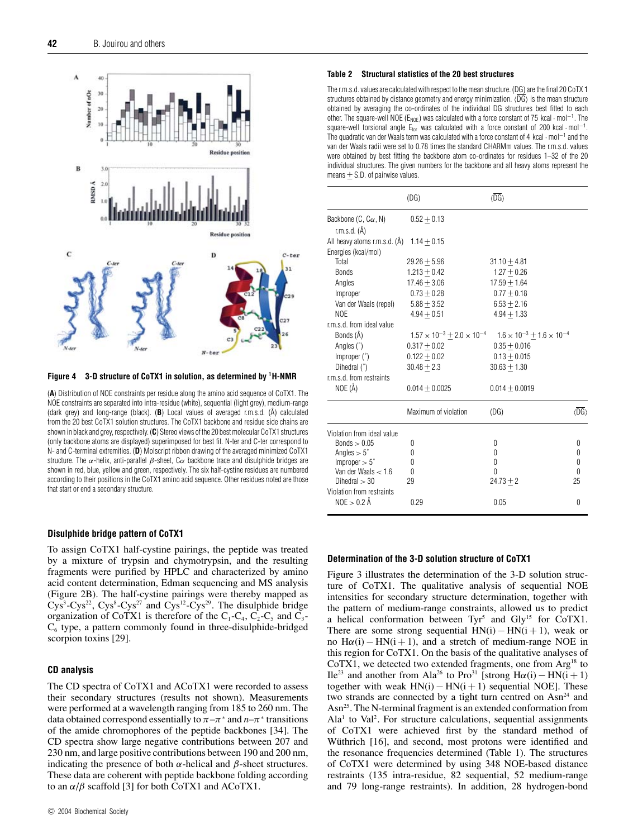

**Figure 4 3-D structure of CoTX1 in solution, as determined by 1H-NMR**

(**A**) Distribution of NOE constraints per residue along the amino acid sequence of CoTX1. The NOE constraints are separated into intra-residue (white), sequential (light grey), medium-range (dark grey) and long-range (black). **(B**) Local values of averaged r.m.s.d.  $(A)$  calculated from the 20 best CoTX1 solution structures. The CoTX1 backbone and residue side chains are shown in black and grey, respectively. (**C**) Stereo views of the 20 best molecular CoTX1 structures (only backbone atoms are displayed) superimposed for best fit. N-ter and C-ter correspond to N- and C-terminal extremities. (**D**) Molscript ribbon drawing of the averaged minimized CoTX1 structure. The  $\alpha$ -helix, anti-parallel  $\beta$ -sheet, C $\alpha$  backbone trace and disulphide bridges are shown in red, blue, yellow and green, respectively. The six half-cystine residues are numbered according to their positions in the CoTX1 amino acid sequence. Other residues noted are those that start or end a secondary structure.

# **Disulphide bridge pattern of CoTX1**

To assign CoTX1 half-cystine pairings, the peptide was treated by a mixture of trypsin and chymotrypsin, and the resulting fragments were purified by HPLC and characterized by amino acid content determination, Edman sequencing and MS analysis (Figure 2B). The half-cystine pairings were thereby mapped as  $Cys<sup>3</sup>-Cys<sup>22</sup>$ ,  $Cys<sup>8</sup>-Cys<sup>27</sup>$  and  $Cys<sup>12</sup>-Cys<sup>29</sup>$ . The disulphide bridge organization of CoTX1 is therefore of the  $C_1-C_4$ ,  $C_2-C_5$  and  $C_3$ - $C_6$  type, a pattern commonly found in three-disulphide-bridged scorpion toxins [29].

# **CD analysis**

The CD spectra of CoTX1 and ACoTX1 were recorded to assess their secondary structures (results not shown). Measurements were performed at a wavelength ranging from 185 to 260 nm. The data obtained correspond essentially to  $\pi - \pi^*$  and  $n - \pi^*$  transitions of the amide chromophores of the peptide backbones [34]. The CD spectra show large negative contributions between 207 and 230 nm, and large positive contributions between 190 and 200 nm, indicating the presence of both *α*-helical and *β*-sheet structures. These data are coherent with peptide backbone folding according to an  $\alpha/\beta$  scaffold [3] for both CoTX1 and ACoTX1.

#### c 2004 Biochemical Society

#### **Table 2 Structural statistics of the 20 best structures**

The r.m.s.d. values are calculated with respect to the mean structure. (DG) are the final 20 CoTX 1 structures obtained by distance geometry and energy minimization.  $\langle \overline{DG} \rangle$  is the mean structure obtained by averaging the co-ordinates of the individual DG structures best fitted to each other. The square-well NOE ( $E_{\text{NOE}}$ ) was calculated with a force constant of 75 kcal · mol<sup>-1</sup>. The square-well torsional angle  $E_{tor}$  was calculated with a force constant of 200 kcal · mol<sup>-1</sup>. The quadratic van der Waals term was calculated with a force constant of 4 kcal · mol−<sup>1</sup> and the van der Waals radii were set to 0.78 times the standard CHARMm values. The r.m.s.d. values were obtained by best fitting the backbone atom co-ordinates for residues 1–32 of the 20 individual structures. The given numbers for the backbone and all heavy atoms represent the means  $+$  S.D. of pairwise values.

|                                                     | (DG)                                       | $\langle \overline{\text{DG}} \rangle$    |                                        |
|-----------------------------------------------------|--------------------------------------------|-------------------------------------------|----------------------------------------|
| Backbone $(C, C\alpha, N)$<br>r.m.s.d. $(A)$        | $0.52 + 0.13$                              |                                           |                                        |
| All heavy atoms r.m.s.d. (A)<br>Energies (kcal/mol) | $1.14 + 0.15$                              |                                           |                                        |
| Total                                               | $29.26 + 5.96$                             | $31.10 + 4.81$                            |                                        |
| <b>Bonds</b>                                        | $1.213 + 0.42$                             | $1.27 + 0.26$                             |                                        |
| Angles                                              | $17.46 + 3.06$                             | $17.59 + 1.64$                            |                                        |
| Improper                                            | $0.73 + 0.28$                              | $0.77 + 0.18$                             |                                        |
| Van der Waals (repel)                               | $5.88 + 3.52$                              | $6.53 + 2.16$                             |                                        |
| <b>NOE</b>                                          | $4.94 + 0.51$                              | $4.94 + 1.33$                             |                                        |
| r.m.s.d. from ideal value                           |                                            |                                           |                                        |
| Bonds (Å)                                           | $1.57 \times 10^{-3} + 2.0 \times 10^{-4}$ | $1.6 \times 10^{-3} + 1.6 \times 10^{-4}$ |                                        |
| Angles $(°)$                                        | $0.317 + 0.02$                             | $0.35 + 0.016$                            |                                        |
| Improper $(°)$                                      | $0.122 + 0.02$                             | $0.13 + 0.015$                            |                                        |
| Dihedral (°)                                        | $30.48 + 2.3$                              | $30.63 + 1.30$                            |                                        |
| r.m.s.d. from restraints                            |                                            |                                           |                                        |
| NOE (Å)                                             | $0.014 + 0.0025$                           | $0.014 + 0.0019$                          |                                        |
|                                                     | Maximum of violation                       | (DG)                                      | $\langle \overline{\text{DG}} \rangle$ |
| Violation from ideal value                          |                                            |                                           |                                        |
| Bonds $> 0.05$                                      | 0                                          | 0                                         | 0                                      |
| Angles $> 5^{\circ}$                                | 0                                          | 0                                         | 0                                      |
| $Improper > 5^\circ$                                | 0                                          | 0                                         | 0                                      |
| Van der Waals $< 1.6$                               | $\theta$                                   | $\Omega$                                  | $\Omega$                               |
| Dihedral $>$ 30                                     | 29                                         | $24.73 + 2$                               | 25                                     |
| Violation from restraints<br>$NOE > 0.2$ Å          | 0.29                                       | 0.05                                      | 0                                      |

#### **Determination of the 3-D solution structure of CoTX1**

Figure 3 illustrates the determination of the 3-D solution structure of CoTX1. The qualitative analysis of sequential NOE intensities for secondary structure determination, together with the pattern of medium-range constraints, allowed us to predict a helical conformation between  $Tyr^5$  and  $Gly^{15}$  for  $CoTX1$ . There are some strong sequential  $HN(i) - HN(i + 1)$ , weak or no  $H\alpha(i) - HN(i + 1)$ , and a stretch of medium-range NOE in this region for CoTX1. On the basis of the qualitative analyses of CoTX1, we detected two extended fragments, one from  $Arg^{18}$  to Ile<sup>23</sup> and another from Ala<sup>26</sup> to Pro<sup>31</sup> [strong H $\alpha$ (i) − HN(i + 1) together with weak  $HN(i) - HN(i + 1)$  sequential NOE]. These two strands are connected by a tight turn centred on  $\text{Asn}^{24}$  and Asn<sup>25</sup>. The N-terminal fragment is an extended conformation from Ala<sup>1</sup> to Val<sup>2</sup>. For structure calculations, sequential assignments of CoTX1 were achieved first by the standard method of Wüthrich [16], and second, most protons were identified and the resonance frequencies determined (Table 1). The structures of CoTX1 were determined by using 348 NOE-based distance restraints (135 intra-residue, 82 sequential, 52 medium-range and 79 long-range restraints). In addition, 28 hydrogen-bond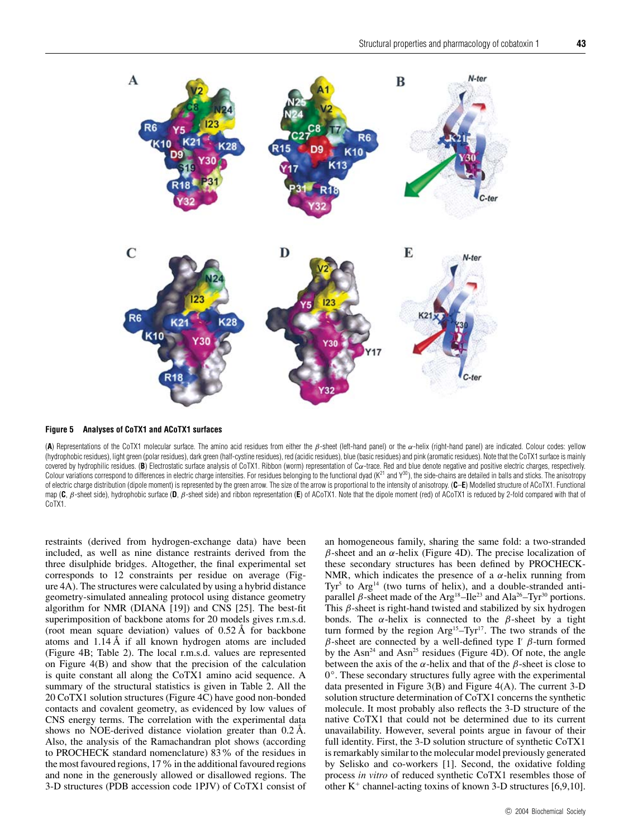

**Figure 5 Analyses of CoTX1 and ACoTX1 surfaces**

(**A**) Representations of the CoTX1 molecular surface. The amino acid residues from either the β-sheet (left-hand panel) or the α-helix (right-hand panel) are indicated. Colour codes: yellow (hydrophobic residues), light green (polar residues), dark green (half-cystine residues), red (acidic residues), blue (basic residues) and pink (aromatic residues). Note that the CoTX1 surface is mainly covered by hydrophilic residues. (B) Electrostatic surface analysis of CoTX1. Ribbon (worm) representation of  $C\alpha$ -trace. Red and blue denote negative and positive electric charges, respectively. Colour variations correspond to differences in electric charge intensities. For residues belonging to the functional dyad  $(K^{21}$  and  $Y^{30})$ , the side-chains are detailed in balls and sticks. The anisotropy of electric charge distribution (dipole moment) is represented by the green arrow. The size of the arrow is proportional to the intensity of anisotropy. (**C**–**E**) Modelled structure of ACoTX1. Functional map (**C**, β-sheet side), hydrophobic surface (**D**, β-sheet side) and ribbon representation (**E**) of ACoTX1. Note that the dipole moment (red) of ACoTX1 is reduced by 2-fold compared with that of CoTX1.

restraints (derived from hydrogen-exchange data) have been included, as well as nine distance restraints derived from the three disulphide bridges. Altogether, the final experimental set corresponds to 12 constraints per residue on average (Figure 4A). The structures were calculated by using a hybrid distance geometry-simulated annealing protocol using distance geometry algorithm for NMR (DIANA [19]) and CNS [25]. The best-fit superimposition of backbone atoms for 20 models gives r.m.s.d. (root mean square deviation) values of 0.52 Å for backbone atoms and 1.14 Å if all known hydrogen atoms are included (Figure 4B; Table 2). The local r.m.s.d. values are represented on Figure 4(B) and show that the precision of the calculation is quite constant all along the CoTX1 amino acid sequence. A summary of the structural statistics is given in Table 2. All the 20 CoTX1 solution structures (Figure 4C) have good non-bonded contacts and covalent geometry, as evidenced by low values of CNS energy terms. The correlation with the experimental data shows no NOE-derived distance violation greater than 0.2 Å. Also, the analysis of the Ramachandran plot shows (according to PROCHECK standard nomenclature) 83% of the residues in the most favoured regions, 17% in the additional favoured regions and none in the generously allowed or disallowed regions. The 3-D structures (PDB accession code 1PJV) of CoTX1 consist of an homogeneous family, sharing the same fold: a two-stranded *β*-sheet and an *α*-helix (Figure 4D). The precise localization of these secondary structures has been defined by PROCHECK-NMR, which indicates the presence of a *α*-helix running from Tyr<sup>5</sup> to Arg<sup>14</sup> (two turns of helix), and a double-stranded antiparallel  $\beta$ -sheet made of the Arg<sup>18</sup>–Ile<sup>23</sup> and Ala<sup>26</sup>–Tyr<sup>30</sup> portions. This *β*-sheet is right-hand twisted and stabilized by six hydrogen bonds. The  $\alpha$ -helix is connected to the  $\beta$ -sheet by a tight turn formed by the region  $Arg<sup>15</sup>-Tyr<sup>17</sup>$ . The two strands of the *β*-sheet are connected by a well-defined type I' *β*-turn formed by the Asn<sup>24</sup> and Asn<sup>25</sup> residues (Figure 4D). Of note, the angle between the axis of the  $\alpha$ -helix and that of the  $\beta$ -sheet is close to 0*◦*. These secondary structures fully agree with the experimental data presented in Figure 3(B) and Figure 4(A). The current 3-D solution structure determination of CoTX1 concerns the synthetic molecule. It most probably also reflects the 3-D structure of the native CoTX1 that could not be determined due to its current unavailability. However, several points argue in favour of their full identity. First, the 3-D solution structure of synthetic CoTX1 is remarkably similar to the molecular model previously generated by Selisko and co-workers [1]. Second, the oxidative folding process *in vitro* of reduced synthetic CoTX1 resembles those of other  $K^+$  channel-acting toxins of known 3-D structures [6,9,10].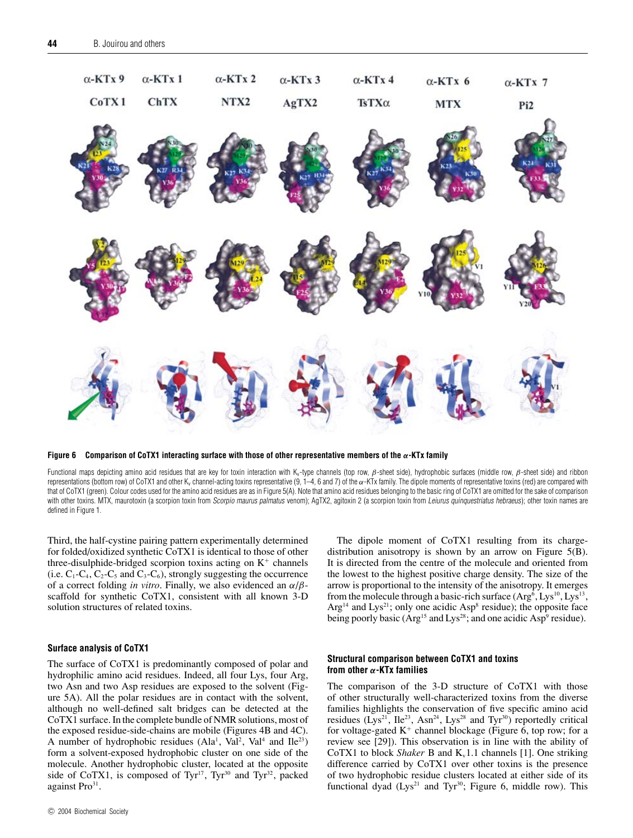

**Figure 6 Comparison of CoTX1 interacting surface with those of other representative members of the** *α***-KTx family**

Functional maps depicting amino acid residues that are key for toxin interaction with K<sub>v</sub>-type channels (top row, β-sheet side), hydrophobic surfaces (middle row, β-sheet side) and ribbon representations (bottom row) of CoTX1 and other K<sub>v</sub> channel-acting toxins representative  $(9, 1-4, 6$  and 7) of the  $\alpha$ -KTx family. The dipole moments of representative toxins (red) are compared with that of CoTX1 (green). Colour codes used for the amino acid residues are as in Figure 5(A). Note that amino acid residues belonging to the basic ring of CoTX1 are omitted for the sake of comparison with other toxins. MTX, maurotoxin (a scorpion toxin from Scorpio maurus palmatus venom); AgTX2, agitoxin 2 (a scorpion toxin from Leiurus quinquestriatus hebraeus); other toxin names are defined in Figure 1.

Third, the half-cystine pairing pattern experimentally determined for folded/oxidized synthetic CoTX1 is identical to those of other three-disulphide-bridged scorpion toxins acting on  $K^+$  channels (i.e.  $C_1$ - $C_4$ ,  $C_2$ - $C_5$  and  $C_3$ - $C_6$ ), strongly suggesting the occurrence of a correct folding *in vitro*. Finally, we also evidenced an *α*/*β*scaffold for synthetic CoTX1, consistent with all known 3-D solution structures of related toxins.

# **Surface analysis of CoTX1**

The surface of CoTX1 is predominantly composed of polar and hydrophilic amino acid residues. Indeed, all four Lys, four Arg, two Asn and two Asp residues are exposed to the solvent (Figure 5A). All the polar residues are in contact with the solvent, although no well-defined salt bridges can be detected at the CoTX1 surface. In the complete bundle of NMR solutions, most of the exposed residue-side-chains are mobile (Figures 4B and 4C). A number of hydrophobic residues  $(Ala<sup>1</sup>, Val<sup>2</sup>, Val<sup>4</sup> and Ile<sup>23</sup>)$ form a solvent-exposed hydrophobic cluster on one side of the molecule. Another hydrophobic cluster, located at the opposite side of CoTX1, is composed of Tyr<sup>17</sup>, Tyr<sup>30</sup> and Tyr<sup>32</sup>, packed against Pro<sup>31</sup>.

The dipole moment of CoTX1 resulting from its chargedistribution anisotropy is shown by an arrow on Figure 5(B). It is directed from the centre of the molecule and oriented from the lowest to the highest positive charge density. The size of the arrow is proportional to the intensity of the anisotropy. It emerges from the molecule through a basic-rich surface  $(Arg<sup>6</sup>, Lys<sup>10</sup>, Lys<sup>13</sup>$ ,  $Arg<sup>14</sup>$  and  $Lys<sup>21</sup>$ ; only one acidic Asp<sup>8</sup> residue); the opposite face being poorly basic ( $Arg<sup>15</sup>$  and Lys<sup>28</sup>; and one acidic Asp<sup>9</sup> residue).

# **Structural comparison between CoTX1 and toxins from other** *α***-KTx families**

The comparison of the 3-D structure of CoTX1 with those of other structurally well-characterized toxins from the diverse families highlights the conservation of five specific amino acid residues  $(Lys^{21}, He^{23}, Asn^{24}, Lys^{28}$  and Tyr<sup>30</sup>) reportedly critical for voltage-gated  $K^+$  channel blockage (Figure 6, top row; for a review see [29]). This observation is in line with the ability of CoTX1 to block *Shaker* B and K<sub>v</sub>1.1 channels [1]. One striking difference carried by CoTX1 over other toxins is the presence of two hydrophobic residue clusters located at either side of its functional dyad  $(Lys^{21}$  and Tyr<sup>30</sup>; Figure 6, middle row). This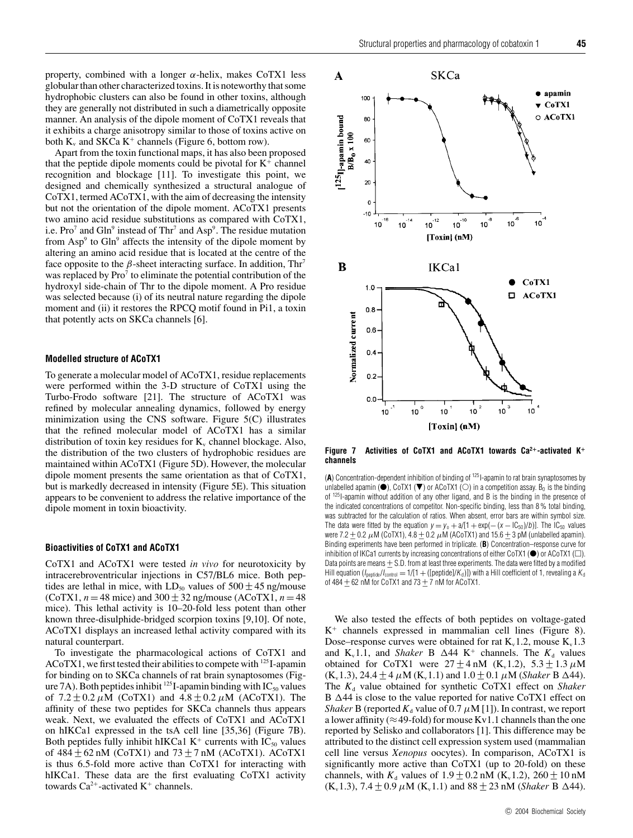property, combined with a longer *α*-helix, makes CoTX1 less globular than other characterized toxins. It is noteworthy that some hydrophobic clusters can also be found in other toxins, although they are generally not distributed in such a diametrically opposite manner. An analysis of the dipole moment of CoTX1 reveals that it exhibits a charge anisotropy similar to those of toxins active on both  $K_v$  and SKCa  $K^+$  channels (Figure 6, bottom row).

Apart from the toxin functional maps, it has also been proposed that the peptide dipole moments could be pivotal for  $K^+$  channel recognition and blockage [11]. To investigate this point, we designed and chemically synthesized a structural analogue of CoTX1, termed ACoTX1, with the aim of decreasing the intensity but not the orientation of the dipole moment. ACoTX1 presents two amino acid residue substitutions as compared with CoTX1, i.e. Pro<sup>7</sup> and Gln<sup>9</sup> instead of Thr<sup>7</sup> and Asp<sup>9</sup>. The residue mutation from  $Asp<sup>9</sup>$  to Gln<sup>9</sup> affects the intensity of the dipole moment by altering an amino acid residue that is located at the centre of the face opposite to the  $\beta$ -sheet interacting surface. In addition, Thr<sup>7</sup> was replaced by  $Pro<sup>7</sup>$  to eliminate the potential contribution of the hydroxyl side-chain of Thr to the dipole moment. A Pro residue was selected because (i) of its neutral nature regarding the dipole moment and (ii) it restores the RPCQ motif found in Pi1, a toxin that potently acts on SKCa channels [6].

# **Modelled structure of ACoTX1**

To generate a molecular model of ACoTX1, residue replacements were performed within the 3-D structure of CoTX1 using the Turbo-Frodo software [21]. The structure of ACoTX1 was refined by molecular annealing dynamics, followed by energy minimization using the CNS software. Figure 5(C) illustrates that the refined molecular model of ACoTX1 has a similar distribution of toxin key residues for  $K_v$  channel blockage. Also, the distribution of the two clusters of hydrophobic residues are maintained within ACoTX1 (Figure 5D). However, the molecular dipole moment presents the same orientation as that of CoTX1, but is markedly decreased in intensity (Figure 5E). This situation appears to be convenient to address the relative importance of the dipole moment in toxin bioactivity.

# **Bioactivities of CoTX1 and ACoTX1**

CoTX1 and ACoTX1 were tested *in vivo* for neurotoxicity by intracerebroventricular injections in C57/BL6 mice. Both peptides are lethal in mice, with LD<sub>50</sub> values of  $500 \pm 45$  ng/mouse (CoTX1,  $n = 48$  mice) and  $300 \pm 32$  ng/mouse (ACoTX1,  $n = 48$ ) mice). This lethal activity is 10–20-fold less potent than other known three-disulphide-bridged scorpion toxins [9,10]. Of note, ACoTX1 displays an increased lethal activity compared with its natural counterpart.

To investigate the pharmacological actions of CoTX1 and ACoTX1, we first tested their abilities to compete with 125I-apamin for binding on to SKCa channels of rat brain synaptosomes (Figure 7A). Both peptides inhibit <sup>125</sup>I-apamin binding with IC<sub>50</sub> values of  $7.2 \pm 0.2 \mu M$  (CoTX1) and  $4.8 \pm 0.2 \mu M$  (ACoTX1). The affinity of these two peptides for SKCa channels thus appears weak. Next, we evaluated the effects of CoTX1 and ACoTX1 on hIKCa1 expressed in the tsA cell line [35,36] (Figure 7B). Both peptides fully inhibit hIKCa1  $K^+$  currents with  $IC_{50}$  values of  $484 \pm 62$  nM (CoTX1) and  $73 \pm 7$  nM (ACoTX1). ACoTX1 is thus 6.5-fold more active than CoTX1 for interacting with hIKCa1. These data are the first evaluating CoTX1 activity towards  $Ca^{2+}$ -activated  $K^+$  channels.



**Figure 7 Activities of CoTX1 and ACoTX1 towards Ca2+-activated K<sup>+</sup> channels**

(**A**) Concentration-dependent inhibition of binding of 125I-apamin to rat brain synaptosomes by unlabelled apamin ( $\bullet$ ), CoTX1 ( $\blacktriangledown$ ) or ACoTX1 ( $\circlearrowright$ ) in a competition assay. B $_0$  is the binding of 125I-apamin without addition of any other ligand, and B is the binding in the presence of the indicated concentrations of competitor. Non-specific binding, less than 8 % total binding, was subtracted for the calculation of ratios. When absent, error bars are within symbol size. The data were fitted by the equation  $y = y_0 + a/(1 + \exp(-(x - \log_0)/b))$ . The  $\log_0$  values were 7.2  $\pm$  0.2  $\mu$ M (CoTX1), 4.8  $\pm$  0.2  $\mu$ M (ACoTX1) and 15.6  $\pm$  3 pM (unlabelled apamin). Binding experiments have been performed in triplicate. (**B**) Concentration–response curve for inhibition of IKCa1 currents by increasing concentrations of either CoTX1 ( $\bullet$ ) or ACoTX1 ( $\Box$ ). Data points are means  $\pm$  S.D. from at least three experiments. The data were fitted by a modified Hill equation ( $I_{\text{period}}/I_{\text{control}} = 1/[1 + ([\text{periode}]/K_d)]$ ) with a Hill coefficient of 1, revealing a  $K_d$ of 484  $\pm$  62 nM for CoTX1 and 73  $\pm$  7 nM for ACoTX1.

We also tested the effects of both peptides on voltage-gated  $K^+$  channels expressed in mammalian cell lines (Figure 8). Dose–response curves were obtained for rat  $K_v 1.2$ , mouse  $K_v 1.3$ and K<sub>v</sub>1.1, and *Shaker* B  $\Delta$ 44 K<sup>+</sup> channels. The  $K_d$  values obtained for CoTX1 were  $27 \pm 4$  nM (K<sub>v</sub>1.2),  $5.3 \pm 1.3$  µM  $(K_v 1.3)$ , 24.4 ± 4  $\mu$ M ( $K_v 1.1$ ) and 1.0 ± 0.1  $\mu$ M (*Shaker* B ∆44). The  $K_d$  value obtained for synthetic CoTX1 effect on *Shaker* B  $\Delta$ 44 is close to the value reported for native CoTX1 effect on *Shaker* B (reported  $K_d$  value of 0.7  $\mu$ M [1]). In contrast, we report a lower affinity ( $\approx$  49-fold) for mouse Kv1.1 channels than the one reported by Selisko and collaborators [1]. This difference may be attributed to the distinct cell expression system used (mammalian cell line versus *Xenopus* oocytes). In comparison, ACoTX1 is significantly more active than CoTX1 (up to 20-fold) on these channels, with  $K_d$  values of 1.9  $\pm$  0.2 nM (K<sub>v</sub>1.2), 260  $\pm$  10 nM  $(K_v 1.3)$ , 7.4 ± 0.9  $\mu$ M ( $K_v 1.1$ ) and 88 ± 23 nM (*Shaker* B  $\Delta$ 44).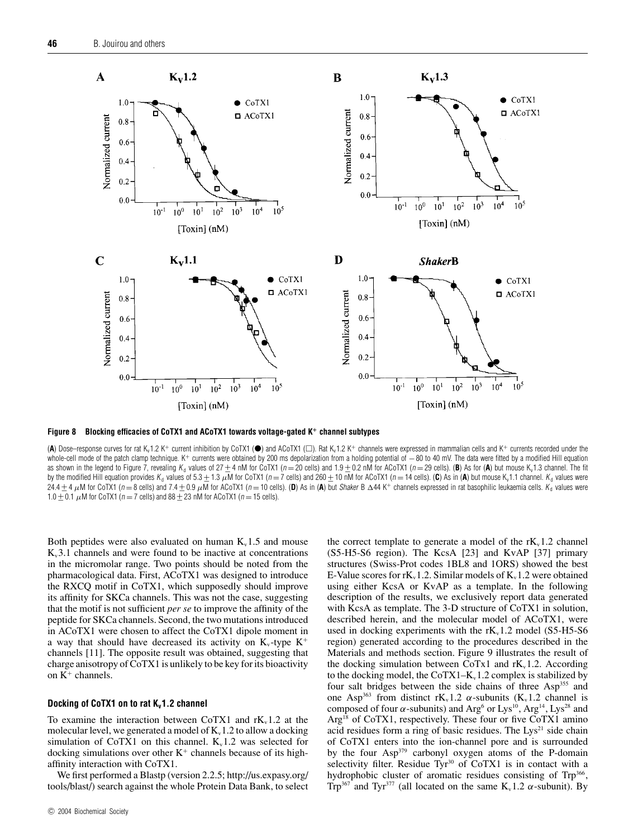

**Figure 8 Blocking efficacies of CoTX1 and ACoTX1 towards voltage-gated K<sup>+</sup> channel subtypes**

(A) Dose–response curves for rat K<sub>v</sub>1.2 K<sup>+</sup> current inhibition by CoTX1 (●) and ACoTX1 (□). Rat K<sub>v</sub>1.2 K<sup>+</sup> channels were expressed in mammalian cells and K<sup>+</sup> currents recorded under the whole-cell mode of the patch clamp technique. K+ currents were obtained by 200 ms depolarization from a holding potential of −80 to 40 mV. The data were fitted by a modified Hill equation as shown in the legend to Figure 7, revealing K<sub>d</sub> values of  $27 + 4$  nM for CoTX1 (n = 20 cells) and 1.9 + 0.2 nM for ACoTX1 (n = 29 cells). (**B**) As for (**A**) but mouse K<sub>v</sub>1.3 channel. The fit by the modified Hill equation provides K<sub>d</sub> values of 5.3  $\pm$  1.3  $\mu$ M for CoTX1 (n = 7 cells) and 260  $\pm$  10 nM for ACoTX1 (n = 14 cells). (C) As in (A) but mouse K<sub>v</sub>1.1 channel. K<sub>d</sub> values were  $24.4 \pm 4 \mu$ M for CoTX1 (n = 8 cells) and 7.4  $\pm$  0.9  $\mu$ M for ACoTX1 (n = 10 cells). (D) As in (A) but Shaker B  $\Delta$ 44 K<sup>+</sup> channels expressed in rat basophilic leukaemia cells. K<sub>d</sub> values were  $1.0 + 0.1$  µM for CoTX1 (n = 7 cells) and 88 + 23 nM for ACoTX1 (n = 15 cells).

Both peptides were also evaluated on human  $K_v$ 1.5 and mouse  $K_v$ 3.1 channels and were found to be inactive at concentrations in the micromolar range. Two points should be noted from the pharmacological data. First, ACoTX1 was designed to introduce the RXCQ motif in CoTX1, which supposedly should improve its affinity for SKCa channels. This was not the case, suggesting that the motif is not sufficient *per se* to improve the affinity of the peptide for SKCa channels. Second, the two mutations introduced in ACoTX1 were chosen to affect the CoTX1 dipole moment in a way that should have decreased its activity on  $K_v$ -type  $K^+$ channels [11]. The opposite result was obtained, suggesting that charge anisotropy of CoTX1 is unlikely to be key for its bioactivity on  $K^+$  channels.

# **Docking of CoTX1 on to rat K<sub>v</sub>1.2 channel**

To examine the interaction between CoTX1 and  $rK_v1.2$  at the molecular level, we generated a model of  $K_v 1.2$  to allow a docking simulation of CoTX1 on this channel.  $K_v 1.2$  was selected for docking simulations over other  $K^+$  channels because of its highaffinity interaction with CoTX1.

We first performed a Blastp (version 2.2.5; http://us.expasy.org/ tools/blast/) search against the whole Protein Data Bank, to select the correct template to generate a model of the  $rK<sub>v</sub>1.2$  channel (S5-H5-S6 region). The KcsA [23] and KvAP [37] primary structures (Swiss-Prot codes 1BL8 and 1ORS) showed the best E-Value scores for  $rK_v1.2$ . Similar models of  $K_v1.2$  were obtained using either KcsA or KvAP as a template. In the following description of the results, we exclusively report data generated with KcsA as template. The 3-D structure of CoTX1 in solution, described herein, and the molecular model of ACoTX1, were used in docking experiments with the  $rK_v1.2$  model (S5-H5-S6 region) generated according to the procedures described in the Materials and methods section. Figure 9 illustrates the result of the docking simulation between CoTx1 and  $rK_v1.2$ . According to the docking model, the  $CoTX1-K_v1.2$  complex is stabilized by four salt bridges between the side chains of three Asp<sup>355</sup> and one Asp<sup>363</sup> from distinct rK<sub>v</sub>1.2  $\alpha$ -subunits (K<sub>v</sub>1.2 channel is composed of four *α*-subunits) and Arg<sup>6</sup> or Lys<sup>10</sup>, Arg<sup>14</sup>, Lys<sup>28</sup> and Arg<sup>18</sup> of CoTX1, respectively. These four or five CoTX1 amino acid residues form a ring of basic residues. The  $Lys^{21}$  side chain of CoTX1 enters into the ion-channel pore and is surrounded by the four Asp<sup>379</sup> carbonyl oxygen atoms of the P-domain selectivity filter. Residue Tyr<sup>30</sup> of CoTX1 is in contact with a hydrophobic cluster of aromatic residues consisting of Trp<sup>366</sup>, Trp<sup>367</sup> and Tyr<sup>377</sup> (all located on the same  $K_v 1.2 \alpha$ -subunit). By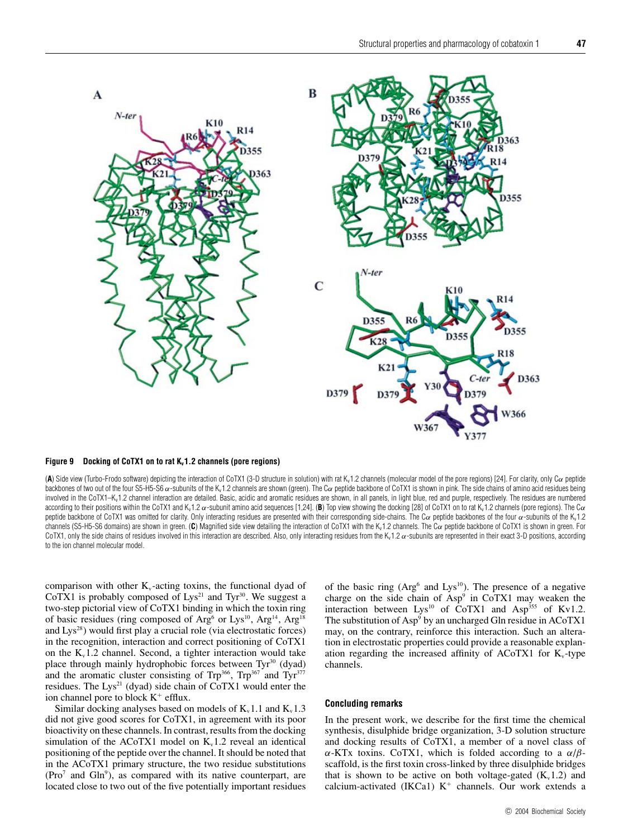

#### Figure 9 Docking of CoTX1 on to rat K<sub>v</sub>1.2 channels (pore regions)

(A) Side view (Turbo-Frodo software) depicting the interaction of CoTX1 (3-D structure in solution) with rat K<sub>v</sub>1.2 channels (molecular model of the pore regions) [24]. For clarity, only C<sub> $\alpha$ </sub> peptide backbones of two out of the four S5-H5-S6 α-subunits of the K<sub>v</sub>1.2 channels are shown (green). The Cα peptide backbone of CoTX1 is shown in pink. The side chains of amino acid residues being involved in the CoTX1-K<sub>v</sub>1.2 channel interaction are detailed. Basic, acidic and aromatic residues are shown, in all panels, in light blue, red and purple, respectively. The residues are numbered according to their positions within the CoTX1 and K<sub>v</sub>1.2 α-subunit amino acid sequences [1,24]. (B) Top view showing the docking [28] of CoTX1 on to rat K<sub>v</sub>1.2 channels (pore regions). The Cα peptide backbone of CoTX1 was omitted for clarity. Only interacting residues are presented with their corresponding side-chains. The C $\alpha$  peptide backbones of the four  $\alpha$ -subunits of the Kv1.2 channels (S5-H5-S6 domains) are shown in green. (**C**) Magnified side view detailing the interaction of CoTX1 with the Kv1.2 channels. The Cα peptide backbone of CoTX1 is shown in green. For CoTX1, only the side chains of residues involved in this interaction are described. Also, only interacting residues from the K<sub>v</sub>1.2  $\alpha$ -subunits are represented in their exact 3-D positions, according to the ion channel molecular model.

comparison with other  $K_v$ -acting toxins, the functional dyad of CoTX1 is probably composed of  $Lys^{21}$  and Tyr<sup>30</sup>. We suggest a two-step pictorial view of CoTX1 binding in which the toxin ring of basic residues (ring composed of Arg<sup>6</sup> or Lys<sup>10</sup>, Arg<sup>14</sup>, Arg<sup>18</sup> and  $Lys^{28}$ ) would first play a crucial role (via electrostatic forces) in the recognition, interaction and correct positioning of CoTX1 on the  $K_v1.2$  channel. Second, a tighter interaction would take place through mainly hydrophobic forces between  $Tyr^{30}$  (dyad) and the aromatic cluster consisting of  $Trp^{366}$ ,  $Trp^{367}$  and  $Tyr^{377}$ residues. The Lys<sup>21</sup> (dyad) side chain of  $\text{CoTX1}$  would enter the ion channel pore to block  $K^+$  efflux.

Similar docking analyses based on models of  $K_v1.1$  and  $K_v1.3$ did not give good scores for CoTX1, in agreement with its poor bioactivity on these channels. In contrast, results from the docking simulation of the ACoTX1 model on  $K_v1.2$  reveal an identical positioning of the peptide over the channel. It should be noted that in the ACoTX1 primary structure, the two residue substitutions  $(Pro<sup>7</sup>$  and  $Gln<sup>9</sup>)$ , as compared with its native counterpart, are located close to two out of the five potentially important residues of the basic ring  $(Arg<sup>6</sup>$  and  $Lys<sup>10</sup>)$ . The presence of a negative charge on the side chain of  $Asp<sup>9</sup>$  in CoTX1 may weaken the interaction between  $Lys^{10}$  of CoTX1 and Asp<sup>355</sup> of Kv1.2. The substitution of  $Asp^9$  by an uncharged Gln residue in  $ACoTX1$ may, on the contrary, reinforce this interaction. Such an alteration in electrostatic properties could provide a reasonable explanation regarding the increased affinity of ACoTX1 for  $K_v$ -type channels.

# **Concluding remarks**

In the present work, we describe for the first time the chemical synthesis, disulphide bridge organization, 3-D solution structure and docking results of CoTX1, a member of a novel class of *α*-KTx toxins. CoTX1, which is folded according to a *α*/*β*scaffold, is the first toxin cross-linked by three disulphide bridges that is shown to be active on both voltage-gated  $(K_v 1.2)$  and calcium-activated (IKCa1)  $K^+$  channels. Our work extends a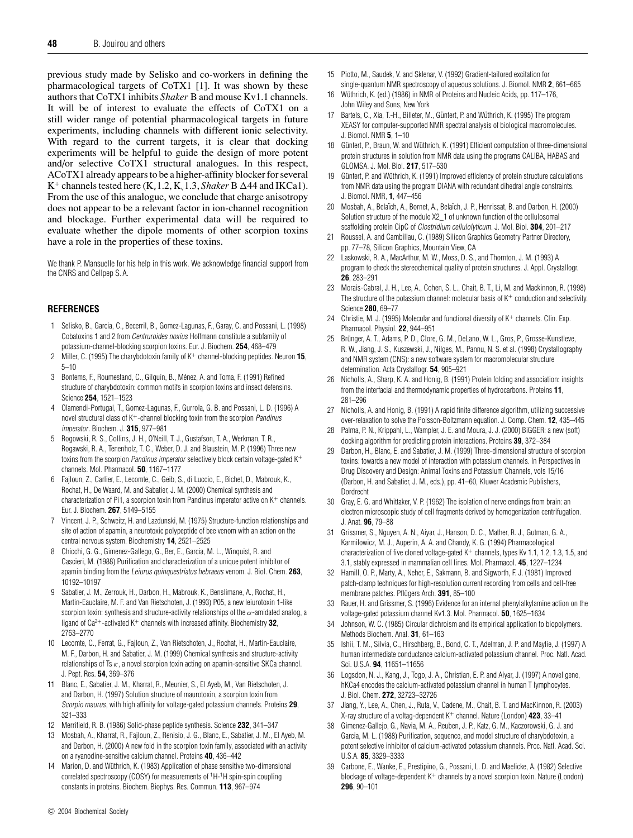previous study made by Selisko and co-workers in defining the pharmacological targets of CoTX1 [1]. It was shown by these authors that CoTX1 inhibits *Shaker* B and mouse Kv1.1 channels. It will be of interest to evaluate the effects of CoTX1 on a still wider range of potential pharmacological targets in future experiments, including channels with different ionic selectivity. With regard to the current targets, it is clear that docking experiments will be helpful to guide the design of more potent and/or selective CoTX1 structural analogues. In this respect, ACoTX1 already appears to be a higher-affinity blocker for several  $K^+$  channels tested here  $(K_v 1.2, K_v 1.3, Shaker B \Delta 44$  and IKCa1). From the use of this analogue, we conclude that charge anisotropy does not appear to be a relevant factor in ion-channel recognition and blockage. Further experimental data will be required to evaluate whether the dipole moments of other scorpion toxins have a role in the properties of these toxins.

We thank P. Mansuelle for his help in this work. We acknowledge financial support from the CNRS and Cellpep S. A.

# **REFERENCES**

- 1 Selisko, B., Garcia, C., Becerril, B., Gomez-Lagunas, F., Garay, C. and Possani, L. (1998) Cobatoxins 1 and 2 from Centruroides noxius Hoffmann constitute a subfamily of potassium-channel-blocking scorpion toxins. Eur. J. Biochem. **254**, 468–479
- 2 Miller, C. (1995) The charybdotoxin family of K<sup>+</sup> channel-blocking peptides. Neuron **15**, 5–10
- 3 Bontems, F., Roumestand, C., Gilquin, B., Ménez, A. and Toma, F. (1991) Refined structure of charybdotoxin: common motifs in scorpion toxins and insect defensins. Science **254**, 1521–1523
- 4 Olamendi-Portugal, T., Gomez-Lagunas, F., Gurrola, G. B. and Possani, L. D. (1996) A novel structural class of K+-channel blocking toxin from the scorpion Pandinus imperator. Biochem. J. **315**, 977–981
- 5 Rogowski, R. S., Collins, J. H., O'Neill, T. J., Gustafson, T. A., Werkman, T. R., Rogawski, R. A., Tenenholz, T. C., Weber, D. J. and Blaustein, M. P. (1996) Three new toxins from the scorpion Pandinus imperator selectively block certain voltage-gated K+ channels. Mol. Pharmacol. **50**, 1167–1177
- 6 Fajloun, Z., Carlier, E., Lecomte, C., Geib, S., di Luccio, E., Bichet, D., Mabrouk, K., Rochat, H., De Waard, M. and Sabatier, J. M. (2000) Chemical synthesis and characterization of Pi1, a scorpion toxin from Pandinus imperator active on  $K^+$  channels. Eur. J. Biochem. **267**, 5149–5155
- 7 Vincent, J. P., Schweitz, H. and Lazdunski, M. (1975) Structure-function relationships and site of action of apamin, a neurotoxic polypeptide of bee venom with an action on the central nervous system. Biochemistry **14**, 2521–2525
- 8 Chicchi, G. G., Gimenez-Gallego, G., Ber, E., Garcia, M. L., Winquist, R. and Cascieri, M. (1988) Purification and characterization of a unique potent inhibitor of apamin binding from the Leiurus quinquestriatus hebraeus venom. J. Biol. Chem. **263**, 10192–10197
- 9 Sabatier, J. M., Zerrouk, H., Darbon, H., Mabrouk, K., Benslimane, A., Rochat, H., Martin-Eauclaire, M. F. and Van Rietschoten, J. (1993) P05, a new leiurotoxin 1-like scorpion toxin: synthesis and structure-activity relationships of the  $\alpha$ -amidated analog, a ligand of Ca2+-activated K<sup>+</sup> channels with increased affinity. Biochemistry **32**, 2763–2770
- 10 Lecomte, C., Ferrat, G., Fajloun, Z., Van Rietschoten, J., Rochat, H., Martin-Eauclaire, M. F., Darbon, H. and Sabatier, J. M. (1999) Chemical synthesis and structure-activity relationships of Ts $\kappa$ , a novel scorpion toxin acting on apamin-sensitive SKCa channel. J. Pept. Res. **54**, 369–376
- 11 Blanc, E., Sabatier, J. M., Kharrat, R., Meunier, S., El Ayeb, M., Van Rietschoten, J. and Darbon, H. (1997) Solution structure of maurotoxin, a scorpion toxin from Scorpio maurus, with high affinity for voltage-gated potassium channels. Proteins **29**, 321–333
- 12 Merrifield, R. B. (1986) Solid-phase peptide synthesis. Science **232**, 341–347
- 13 Mosbah, A., Kharrat, R., Fajloun, Z., Renisio, J. G., Blanc, E., Sabatier, J. M., El Ayeb, M. and Darbon, H. (2000) A new fold in the scorpion toxin family, associated with an activity on a ryanodine-sensitive calcium channel. Proteins **40**, 436–442
- 14 Marion, D. and Wüthrich, K. (1983) Application of phase sensitive two-dimensional correlated spectroscopy (COSY) for measurements of <sup>1</sup>H-<sup>1</sup>H spin-spin coupling constants in proteins. Biochem. Biophys. Res. Commun. **113**, 967–974
- 15 Piotto, M., Saudek, V. and Sklenar, V. (1992) Gradient-tailored excitation for single-quantum NMR spectroscopy of aqueous solutions. J. Biomol. NMR **2**, 661–665
- 16 Wüthrich, K. (ed.) (1986) in NMR of Proteins and Nucleic Acids, pp. 117–176, John Wiley and Sons, New York
- 17 Bartels, C., Xia, T.-H., Billeter, M., Güntert, P. and Wüthrich, K. (1995) The program XEASY for computer-supported NMR spectral analysis of biological macromolecules. J. Biomol. NMR **5**, 1–10
- 18 Güntert, P., Braun, W. and Wüthrich, K. (1991) Efficient computation of three-dimensional protein structures in solution from NMR data using the programs CALIBA, HABAS and GLOMSA. J. Mol. Biol. **217**, 517–530
- 19 Güntert, P. and Wüthrich, K. (1991) Improved efficiency of protein structure calculations from NMR data using the program DIANA with redundant dihedral angle constraints. J. Biomol. NMR, **1**, 447–456
- 20 Mosbah, A., Belaïch, A., Bornet, A., Belaïch, J. P., Henrissat, B. and Darbon, H. (2000) Solution structure of the module X2\_1 of unknown function of the cellulosomal scaffolding protein CipC of Clostridium cellulolyticum. J. Mol. Biol. **304**, 201–217
- 21 Roussel, A. and Cambillau, C. (1989) Silicon Graphics Geometry Partner Directory, pp. 77–78, Silicon Graphics, Mountain View, CA
- 22 Laskowski, R. A., MacArthur, M. W., Moss, D. S., and Thornton, J. M. (1993) A program to check the stereochemical quality of protein structures. J. Appl. Crystallogr. **26**, 283–291
- 23 Morais-Cabral, J. H., Lee, A., Cohen, S. L., Chait, B. T., Li, M. and Mackinnon, R. (1998) The structure of the potassium channel: molecular basis of  $K^+$  conduction and selectivity. Science **280**, 69–77
- 24 Christie, M. J. (1995) Molecular and functional diversity of  $K^+$  channels. Clin. Exp. Pharmacol. Physiol. **22**, 944–951
- 25 Brünger, A. T., Adams, P. D., Clore, G. M., DeLano, W. L., Gros, P., Grosse-Kunstleve, R. W., Jiang, J. S., Kuszewski, J., Nilges, M., Pannu, N. S. et al. (1998) Crystallography and NMR system (CNS): a new software system for macromolecular structure determination. Acta Crystallogr. **54**, 905–921
- 26 Nicholls, A., Sharp, K. A. and Honig, B. (1991) Protein folding and association: insights from the interfacial and thermodynamic properties of hydrocarbons. Proteins **11**, 281–296
- 27 Nicholls, A. and Honig, B. (1991) A rapid finite difference algorithm, utilizing successive over-relaxation to solve the Poisson-Boltzmann equation. J. Comp. Chem. **12**, 435–445
- 28 Palma, P. N., Krippahl, L., Wampler, J. E. and Moura, J. J. (2000) BiGGER: a new (soft) docking algorithm for predicting protein interactions. Proteins **39**, 372–384
- 29 Darbon, H., Blanc, E. and Sabatier, J. M. (1999) Three-dimensional structure of scorpion toxins: towards a new model of interaction with potassium channels. In Perspectives in Drug Discovery and Design: Animal Toxins and Potassium Channels, vols 15/16 (Darbon, H. and Sabatier, J. M., eds.), pp. 41–60, Kluwer Academic Publishers, Dordrecht
- 30 Gray, E. G. and Whittaker, V. P. (1962) The isolation of nerve endings from brain: an electron microscopic study of cell fragments derived by homogenization centrifugation. J. Anat. **96**, 79–88
- 31 Grissmer, S., Nguyen, A. N., Aiyar, J., Hanson, D. C., Mather, R. J., Gutman, G. A., Karmilowicz, M. J., Auperin, A. A. and Chandy, K. G. (1994) Pharmacological characterization of five cloned voltage-gated  $K^+$  channels, types Kv 1.1, 1.2, 1.3, 1.5, and 3.1, stably expressed in mammalian cell lines. Mol. Pharmacol. **45**, 1227–1234
- 32 Hamill, O. P., Marty, A., Neher, E., Sakmann, B. and Sigworth, F. J. (1981) Improved patch-clamp techniques for high-resolution current recording from cells and cell-free membrane patches. Pflügers Arch. 391, 85-100
- 33 Rauer, H. and Grissmer, S. (1996) Evidence for an internal phenylalkylamine action on the voltage-gated potassium channel Kv1.3. Mol. Pharmacol. **50**, 1625–1634
- 34 Johnson, W. C. (1985) Circular dichroism and its empirical application to biopolymers. Methods Biochem. Anal. **31**, 61–163
- 35 Ishii, T. M., Silvia, C., Hirschberg, B., Bond, C. T., Adelman, J. P. and Maylie, J. (1997) A human intermediate conductance calcium-activated potassium channel. Proc. Natl. Acad. Sci. U.S.A. **94**, 11651–11656
- 36 Logsdon, N. J., Kang, J., Togo, J. A., Christian, E. P. and Aiyar, J. (1997) A novel gene, hKCa4 encodes the calcium-activated potassium channel in human T lymphocytes. J. Biol. Chem. **272**, 32723–32726
- 37 Jiang, Y., Lee, A., Chen, J., Ruta, V., Cadene, M., Chait, B. T. and MacKinnon, R. (2003) X-ray structure of a voltag-dependent K<sup>+</sup> channel. Nature (London) **423**, 33–41
- 38 Gimenez-Gallejo, G., Navia, M. A., Reuben, J. P., Katz, G. M., Kaczorowski, G. J. and Garcia, M. L. (1988) Purification, sequence, and model structure of charybdotoxin, a potent selective inhibitor of calcium-activated potassium channels. Proc. Natl. Acad. Sci. U.S.A. **85**, 3329–3333
- 39 Carbone, E., Wanke, E., Prestipino, G., Possani, L. D. and Maelicke, A. (1982) Selective blockage of voltage-dependent K+ channels by a novel scorpion toxin. Nature (London) **296**, 90–101